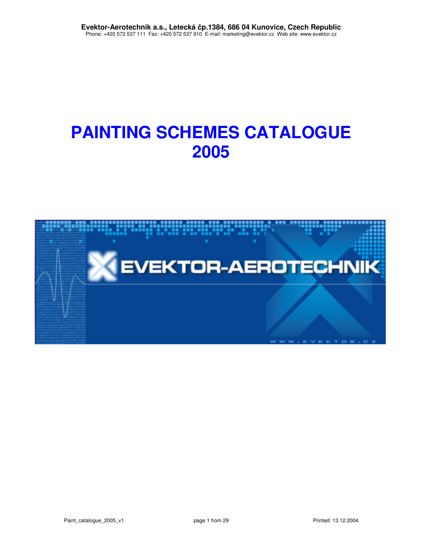# **PAINTING SCHEMES CATALOGUE 2005**

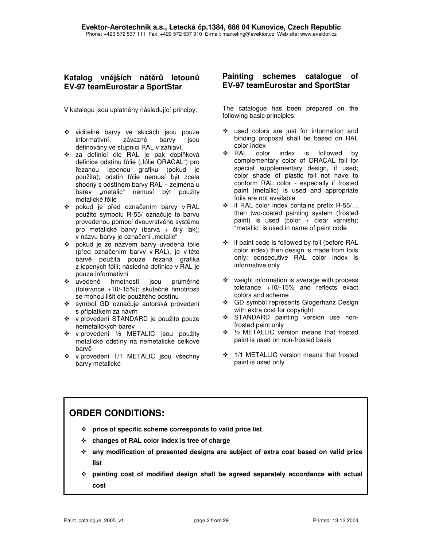### Katalog vnějších nátěrů letounů **EV-97 teamEurostar a SportStar**

V katalogu jsou uplatněny následující principy:

- viditelné barvy ve skicách jsou pouze informativní, závazné barvy jsou definovány ve stupnici RAL v záhlaví,
- ❖ za definicí dle RAL je pak doplňková definice odstínu fólie ("fólie ORACAL") pro řezanou lepenou grafiku (pokud je použita); odstín fólie nemusí být zcela shodný s odstínem barvy RAL – zejména u barev "metalic" nemusí být použity metalické fólie
- \* pokud je před označením barvy v RAL použito symbolu R-55/ označuje to barvu provedenou pomocí dvouvrstvého systému pro metalické barvy (barva + čirý lak); v názvu barvy je označení "metalic"
- pokud je ze názvem barvy uvedena fólie (před označením barvy v RAL), je v této barvě použita pouze řezaná grafika z lepených fólií; následná definice v RAL je pouze informativní
- \* uvedené hmotnosti jsou průměrné (tolerance +10/-15%); skutečné hmotnosti se mohou lišit dle použitého odstínu
- \* symbol GD označuje autorská provedení s příplatkem za návrh
- v provedení STANDARD je použito pouze nemetalických barev
- v provedení ½ METALIC jsou použity metalické odstíny na nemetalické celkové barv
- v provedení 1/1 METALIC jsou všechny barvy metalické

### **Painting schemes catalogue of EV-97 teamEurostar and SportStar**

The catalogue has been prepared on the following basic principles:

- \* used colors are just for information and binding proposal shall be based on RAL color index
- \* RAL color index is followed by complementary color of ORACAL foil for special supplementary design, if used; color shade of plastic foil not have to conform RAL color - especially if frosted paint (metallic) is used and appropriate foils are not available
- if RAL color index contains prefix R-55/… then two-coated painting system (frosted paint) is used (color  $+$  clear varnish); "metallic" is used in name of paint code
- if paint code is followed by foil (before RAL color index) then design is made from foils only; consecutive RAL color index is informative only
- $\div$  weight information is average with process tolerance +10/-15% and reflects exact colors and scheme
- GD symbol represents Glogerhanz Design with extra cost for copyright
- STANDARD painting version use nonfrosted paint only
- ½ METALLIC version means that frosted paint is used on non-frosted basis
- ❖ 1/1 METALLIC version means that frosted paint is used only

## **ORDER CONDITIONS:**

- **price of specific scheme corresponds to valid price list**
- **changes of RAL color index is free of charge**
- **any modification of presented designs are subject of extra cost based on valid price list**
- **painting cost of modified design shall be agreed separately accordance with actual cost**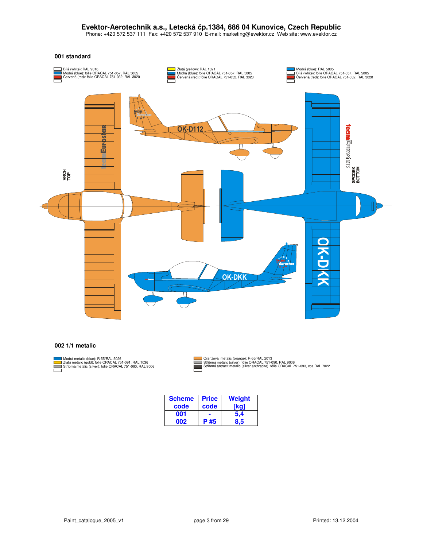Phone: +420 572 537 111 Fax: +420 572 537 910 E-mail: marketing@evektor.cz Web site: www.evektor.cz

#### **001 standard**



#### **002 1/1 metalic**



Modrá metalic (blue): R-55/RAL 5026<br>Zlatá metalic (gold): fólie ORACAL 751-091, RAL 1036<br>Stříbrná metalic (silver): fólie ORACAL 751-090, RAL 9006

Oranžová metalic (orange): R-55/RAL 2013<br>Stříbrná metalic (silver): fólie ORACAL 751-090, RAL 9006<br>Stříbrná antracit metalic (silver anthracite): fólie ORACAL 751-093, cca RAL 7022

| <b>Scheme</b> | <b>Price</b> | Weight |
|---------------|--------------|--------|
| code          | code         |        |
| 001           |              | 5.4    |
| ᲘᲘ2           | P #5         | 8.5    |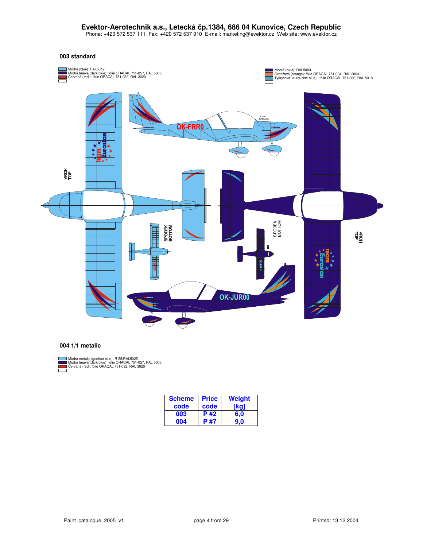Phone: +420 572 537 111 Fax: +420 572 537 910 E-mail: marketing@evektor.cz Web site: www.evektor.cz

#### **003 standard**



#### **004 1/1 metalic**



Modrá metalic (gentian blue): R-55/RAL5025<br>Modrá tmavá (dark blue): fólie ORACAL 751-057, RAL 5005<br>Červaná (red): fólie ORACAL 751-032, RAL 3020

| <b>Scheme</b> | <b>Price</b> | <b>Weight</b> |
|---------------|--------------|---------------|
| code          | code         | ka            |
| 003           | P#2          | 6.0           |
| 004           | <b>P#7</b>   | 9.N           |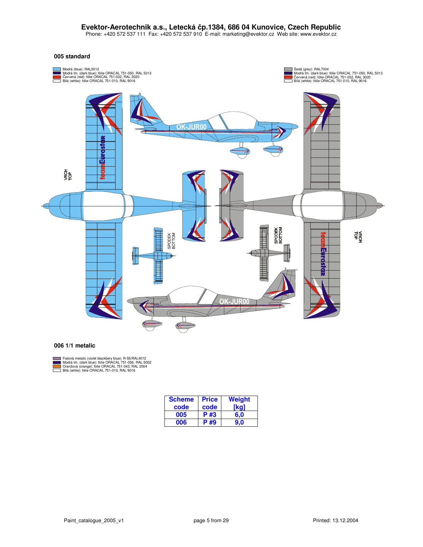Phone: +420 572 537 111 Fax: +420 572 537 910 E-mail: marketing@evektor.cz Web site: www.evektor.cz

#### **005 standard**



#### **006 1/1 metalic**



Fialová metalic (violet blackbery blue): R-55/RAL4012<br>Modrá tm. (dark blue): fólie ORACAL 751-056, RAL 5002<br>Oranžová (orange): fólie ORACAL 751-043, RAL 2004<br>Bílá (white): fólie ORACAL 751-010, RAL 9016 (dark blue): fólie ORACAL 751-056, RAL 50<br>orange): fólie ORACAL 751-043, RAL 2004<br>: fólie ORACAL 751-010, RAL 9016

| <b>Scheme</b> | <b>Price</b> | Weight |
|---------------|--------------|--------|
| code          | code         | [ka]   |
| 005           | P #3         | 6.0    |
| 006           | P #9         | 9.0    |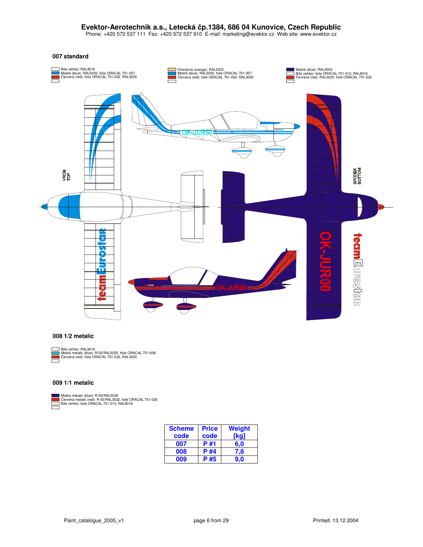Phone: +420 572 537 111 Fax: +420 572 537 910 E-mail: marketing@evektor.cz Web site: www.evektor.cz

#### **007 standard**



#### **008 1/2 metalic**



Bílá (white): RAL9016<br>Modrá metalic (blue): R-55/RAL5025, folie ORACAL 751-608<br>Červená (red): folie ORACAL 751-032, RAL3020

#### **009 1/1 metalic**

Modrá metalic (blue): R-55/RAL5026 ervená metalic (red): R-55/RAL3032, folie ORACAL 751-026 Bílá (white): folie ORACAL 751-010, RAL9016

| <b>Scheme</b> | <b>Price</b> | Weight |
|---------------|--------------|--------|
| code          | code         | ikgʻ   |
| 007           | P #1         | 6.0    |
| 008           | P #4         | 7,8    |
| 009           | P #5         | 9.0    |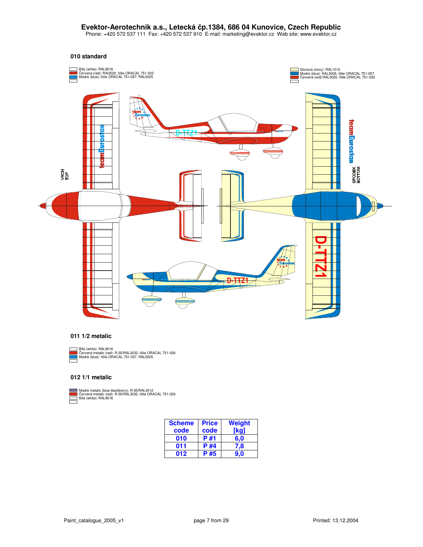Phone: +420 572 537 111 Fax: +420 572 537 910 E-mail: marketing@evektor.cz Web site: www.evektor.cz

#### **010 standard**



#### **011 1/2 metalic**

Bílá (white): RAL9016

Červená metalic (red): R-55/RAL3032, fólie ORACAL 751-026<br>Modrá (blue): fólie ORACAL 751-057, RAL5005

#### **012 1/1 metalic**



Modrá metalic (blue blackberry): R-55/RAL4012<br>Červená metalic (red): R-55/RAL3032, fólie ORACAL 751-026<br>Bílá (white): RAL9016

| <b>Scheme</b> | <b>Price</b> | Weight |
|---------------|--------------|--------|
| code          | code         | ˈkal   |
| 010           | P #1         | 6.0    |
| 011           | P #4         | 7.8    |
| 012           | P #5         | 9.0    |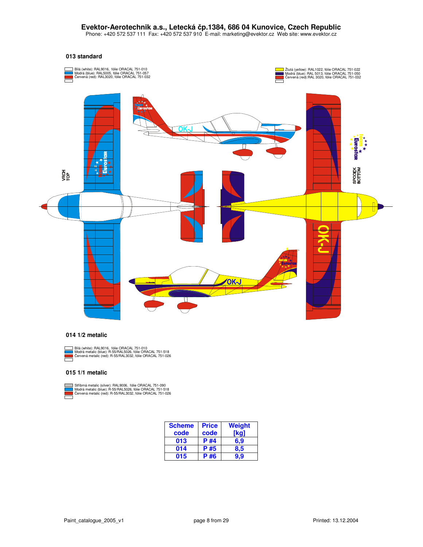Phone: +420 572 537 111 Fax: +420 572 537 910 E-mail: marketing@evektor.cz Web site: www.evektor.cz

#### **013 standard**



#### **014 1/2 metalic**

Bílá (white): RAL9016, Modrá metalic (blue): ervená metalic (red): fólie ORACAL 751-010 R-55/RAL5026, fólie ORACAL 751-518<br>: R-55/RAL3032, fólie ORACAL 751-026

#### **015 1/1 metalic**

Stříbrná metalic (silver): RAL9006, fo<br>Modrá metalic (blue): R-55/RAL5026<br>Červená metalic (red): R-55/RAL303 r): RAL9006, fólie ORACAL 751-090<br>R-55/RAL5026, fólie ORACAL 751-518<br>: R-55/RAL3032, fólie ORACAL 751-026

| <b>Scheme</b> | <b>Price</b> | <b>Weight</b> |
|---------------|--------------|---------------|
| code          | code         | kg)           |
| 013           | <b>P#4</b>   | 6.9           |
| 014           | P #5         | 8.5           |
| 015           | P #6         | 9.9           |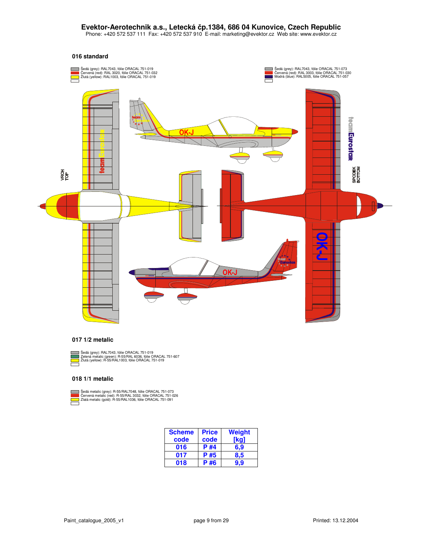Phone: +420 572 537 111 Fax: +420 572 537 910 E-mail: marketing@evektor.cz Web site: www.evektor.cz

#### **016 standard**



#### **017 1/2 metalic**



Sedá (grey): RAL7043, fólie ORACAL 751-019<br>Zelená metalic (green): R-55/RAL 6036, fólie ORACAL 751-607<br>Žlutá (yellow): R-55/RAL1003, fólie ORACAL 751-019

#### **018 1/1 metalic**



Sedá metalic (grey): R-55/RAL7048, fó<br>Červená metalic (red): R-55/RAL 3032<br>Zlatá metalic (gold): R-55/RAL1036, fó R-55/ R-55/ R-55/ , fólie ORACAL 751-073 , fólie ORACAL 751-026 , fólie ORACAL 751-091

| <b>Scheme</b> | <b>Price</b> | Weight |
|---------------|--------------|--------|
| code          | code         | [kgˈ   |
| 016           | P #4         | 6.9    |
| 017           | P #5         | 8.5    |
| 018           | P #6         | 9.9    |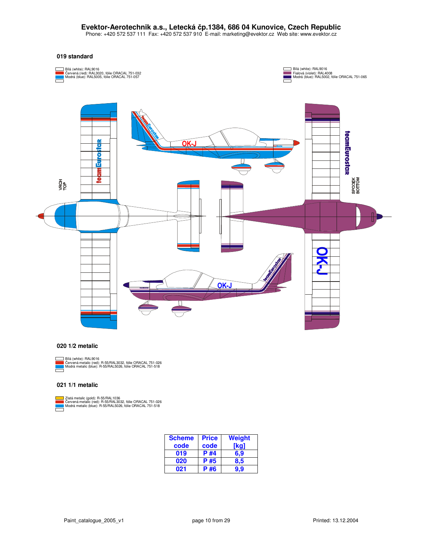Phone: +420 572 537 111 Fax: +420 572 537 910 E-mail: marketing@evektor.cz Web site: www.evektor.cz

#### **019 standard**



#### **020 1/2 metalic**



Bílá (white): RAL9016<br>Červená metalic (red): R-55/RAL3032, fólie ORACAL 751-026<br>Modrá metalic (blue): R-55/RAL5026, fólie ORACAL 751-518

R-55/RAL1036<br>I): R-55/RAL3032, fólie ORACAL 751-026<br>: R-55/RAL5026, fólie ORACAL 751-518

#### **021 1/1 metalic**

Zlatá metalic (gold): R-55/RAL1036<br>Červená metalic (red): R-55/RAL3032<br>Modrá metalic (blue): R-55/RAL5026,

| <b>Scheme</b> | <b>Price</b> | Weight |
|---------------|--------------|--------|
| code          | code         | ka     |
| 019           | P #4         | 6.9    |
| 020           | P #5         | 8.5    |
| 021           | P #6         |        |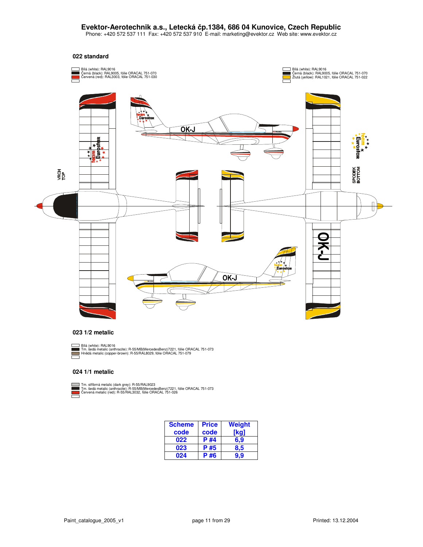Phone: +420 572 537 111 Fax: +420 572 537 910 E-mail: marketing@evektor.cz Web site: www.evektor.cz



#### **023 1/2 metalic**



Bílá (white): RAL9016<br>Tm. šedá metalic (anthracite): R-55/MB(MercedesBenz)7221, fólie ORACAL 751-073<br>Hnědá metalic (copper-brown): R-55/RAL8029, fólie ORACAL 751-079

#### **024 1/1 metalic**

Tm. stříbrná metalic (dark grey): R-55/RAL9023<br>Tm. šedá metalic (anthracite): R-55/MB(MercedesBenz)7221,<br>Červená metalic (red): R-55/RAL3032, fólie ORACAL 751-026 R-55/ racite): R-55/MB(MercedesBenz)7221, fólie ORACAL 751-073<br>R-55/RAL3032, fólie ORACAL 751-026

| <b>Scheme</b><br>code | <b>Price</b><br>code | Weight<br>'kgʻ |
|-----------------------|----------------------|----------------|
| 022                   | P #4                 | 6.9            |
| 023                   | P #5                 | 8.5            |
| 024                   | P #6                 |                |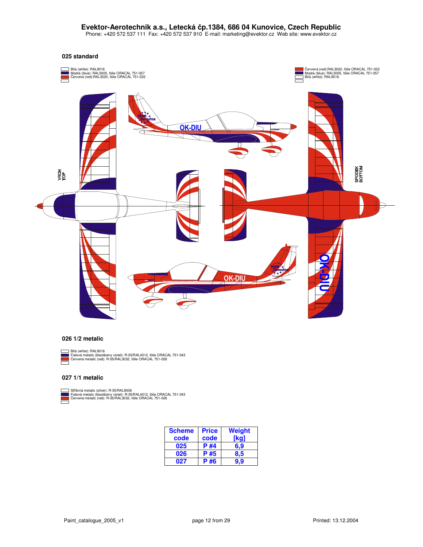Phone: +420 572 537 111 Fax: +420 572 537 910 E-mail: marketing@evektor.cz Web site: www.evektor.cz

#### **025 standard**



#### **026 1/2 metalic**

Bílá (white): RAL9016<br>Fialová metalic (blackberry violet): R-55/RAL4012, fólie ORACAL 751-043<br>Červená metalic (red): R-55/RAL3032, fólie ORACAL 751-026  $\equiv$ 

#### **027 1/1 metalic**

Stříbrná metalic (silver): R-55/RAL9006<br>Fialová metalic (blackberry violet): R-55/RAL4012<br>Červená metalic (red): R-55/RAL3032, fólie ORA0 ı: R-55/RAL9006<br>erry violet): R-55/RAL4012, fólie ORACAL 751-043<br>R-55/RAL3032, fólie ORACAL 751-026

| <b>Scheme</b><br>code | <b>Price</b><br>code | Weight<br>[kg] |
|-----------------------|----------------------|----------------|
| 025                   | P #4                 | 6.9            |
| 026                   | P #5                 | 8.5            |
| 027                   | P #6                 | 9.9            |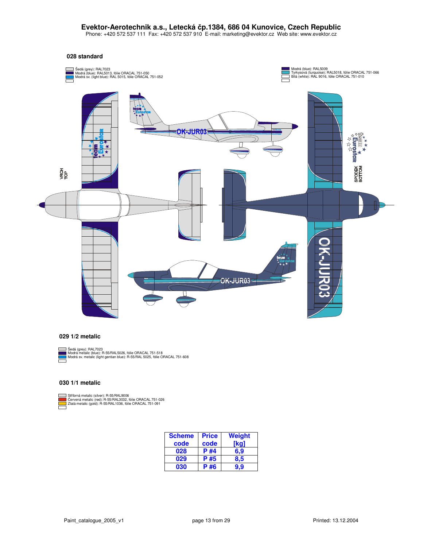Phone: +420 572 537 111 Fax: +420 572 537 910 E-mail: marketing@evektor.cz Web site: www.evektor.cz

#### **028 standard**



### **029 1/2 metalic**

Sedá (grey): RAL7023<br>Modrá metalic (blue): R-55/RAL5026, fólie ORACAL 751-518<br>Modrá sv. metalic (light gentian blue): R-55/RAL 5025, fólie ORACAL 751-608

**030 1/1 metalic**

Stříbrná metalic (silver): R-55/RAL9006<br>Červená metalic (red): R-55/RAL3032, fólie ORACAL 751-0<br>Zlatá metalic (gold): R-55/RAL1036, fólie ORACAL 751-091 Stříbrná metalic (silver): R-55/RAL9006<br>Červená metalic (red): R-55/RAL3032, fólie ORACAL 751-026<br>Zlatá metalic (gold): R-55/RAL1036, fólie ORACAL 751-091

| <b>Scheme</b> | <b>Price</b> | Weight |
|---------------|--------------|--------|
| code          | code         | 'ka'   |
| 028           | P #4         | 6.9    |
| 029           | P #5         | 8,5    |
| 030           | P #6         | 9.9    |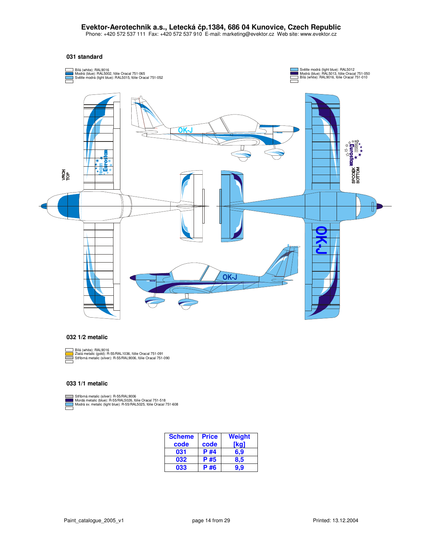Phone: +420 572 537 111 Fax: +420 572 537 910 E-mail: marketing@evektor.cz Web site: www.evektor.cz

#### **031 standard**



#### **032 1/2 metalic**

Bílá (white): RAL9016 Zlatá metalic (gold): R-55/RAL1036, fólie Oracal 751-091 Stíbrná metalic (silver): R-55/RAL9006, fólie Oracal 751-090 п

#### **033 1/1 metalic**

Stříbmá metalic (silver): R-55/RAL9006<br>Mordá metalic (blue): R-55/RAL5026, fólie Oracal 751-518<br>Modrá sv. metalic (light blue): R-55/RAL5025, fólie Oracal 751-608

| <b>Scheme</b><br>code | <b>Price</b><br>code | Weight<br><b>ka</b> |
|-----------------------|----------------------|---------------------|
| 031                   | P #4                 | 6.9                 |
| 032                   | P #5                 | 8.5                 |
| 033                   | #6                   |                     |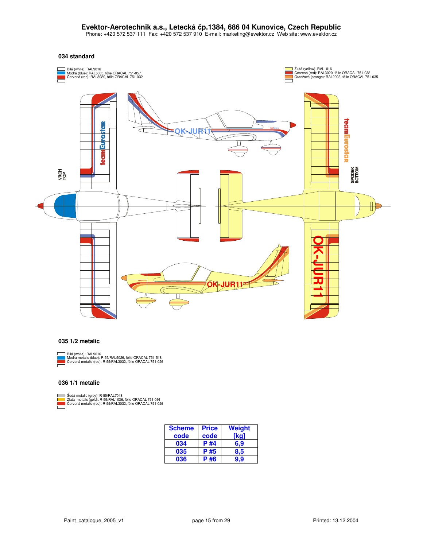Phone: +420 572 537 111 Fax: +420 572 537 910 E-mail: marketing@evektor.cz Web site: www.evektor.cz

#### **034 standard**



#### **035 1/2 metalic**

Bílá (white): RAL9016<br>Modrá metalic (blue): R-55/RAL5026, fólie ORACAL 751-518<br>Červená metalic (red): R-55/RAL3032, fólie ORACAL 751-026  $\equiv$ 

#### **036 1/1 metalic**

Sedá metalic (grey): R-55/RAL7048<br>Zlatá metalic (gold): R-55/RAL1036, fo<br>Červená metalic (red): R-55/RAL3032, R-55/RAL7048<br>R-55/RAL1036, fólie ORACAL 751-091<br>): R-55/RAL3032, fólie ORACAL 751-026

> **Scheme code Price code Weight [kg] 034 P #4 6,9 035 P #5 8,5 036 P #6 9,9**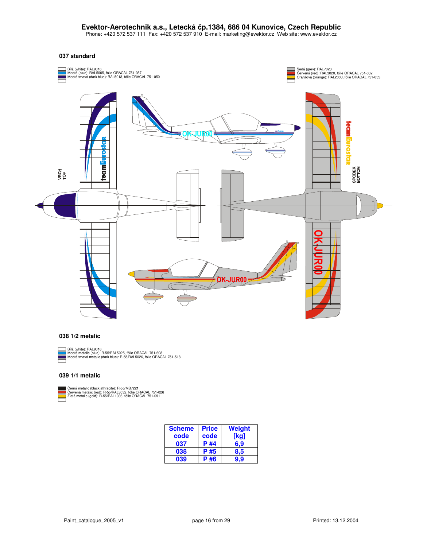Phone: +420 572 537 111 Fax: +420 572 537 910 E-mail: marketing@evektor.cz Web site: www.evektor.cz

#### **037 standard**



#### **038 1/2 metalic**

Н

Bílá (white): RAL9016 Modrá metalic (blue): R-55/RAL5025, fólie ORACAL 751-608 Modrá tmavá metalic (dark blue): R-55/RAL5026, fólie ORACAL 751-518

#### **039 1/1 metalic**

Čemá metalic (black athracite): R-55/MB7221<br>Červená metalic (red): R-55/RAL3032, fólie ORACAL 751-026<br>Zlatá metalic (gold): R-55/RAL1036, fólie ORACAL 751-091

| <b>Scheme</b> | <b>Price</b> | Weight |
|---------------|--------------|--------|
| code          | code         | ka     |
| 037           | P #4         | 6.9    |
| 038           | P #5         | 8.5    |
| 039           | P #6         |        |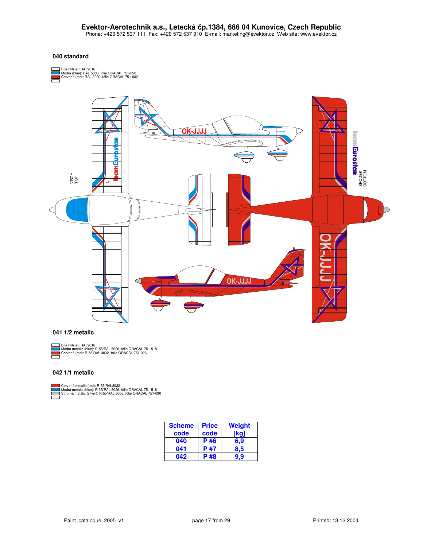#### **040 standard**





#### **041 1/2 metalic**



Bílá (white): RAL9016<br>Modrá metalic (blue): R-55/RAL 5026, fólie ORACAL 751-518<br>Červená (red): R-55/RAL 3032, fólie ORACAL 751-026

#### **042 1/1 metalic**

Červená metalic (red): R-55/RAL3032<br>Modrá metalic (blue): R-55/RAL 5026, fólie ORACAL 751-518<br>Stříbrná metalic (silver): R-55/RAL 9006, fólie ORACAL 751-090

| <b>Scheme</b> | <b>Price</b> | Weight |
|---------------|--------------|--------|
| code          | code         | 'kg)   |
| 040           | P #6         | 6.9    |
| 041           | <b>P#7</b>   | 8.5    |
| 042           | P #8         | 9.9    |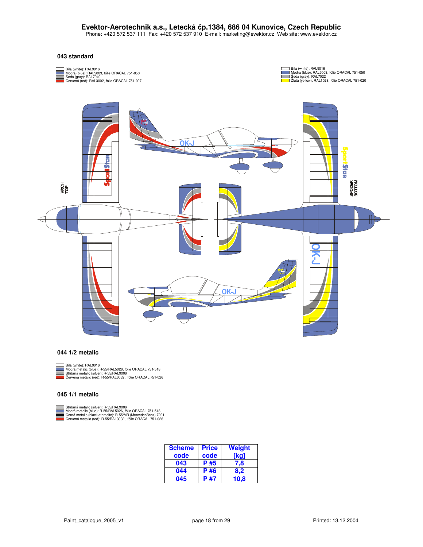Phone: +420 572 537 111 Fax: +420 572 537 910 E-mail: marketing@evektor.cz Web site: www.evektor.cz

#### **043 standard**



#### **044 1/2 metalic**

Bílá (white): RAL9016

Modrá metalic (blue): R-55/RAL5026, fo<br>Stříbrná metalic (silver): R-55/RAL9006<br>Červená metalic (red): R-55/RAL3032, , fólie ORACAL 751-518 : R-55/RAL9006<br>R-55/RAL3032, fólie ORACAL 751-026

#### **045 1/1 metalic**

Stříbrná metalic (silver): R-55/RAL9006<br>Modrá metalic (blue): R-55/RAL5026, fólie ORACAL 751-518 fólie ORACAL 751-026 r): R-55/<br>R-55/RA R-55/ Modrá metalic (blue): R-55/RAL5026, fólie ORACAL 751-518<br>Černá metalic (black athracite): R-55/MB (MercedesBenz) 7221<br>Červená metalic (red): R-55/RAL3032, fólie ORACAL 751-026

| <b>Scheme</b> | <b>Price</b> | Weight |
|---------------|--------------|--------|
| code          | code         | [kg]   |
| 043           | P #5         | 7.8    |
| 044           | P #6         | 8.2    |
| 045           | P #7         | 10.8   |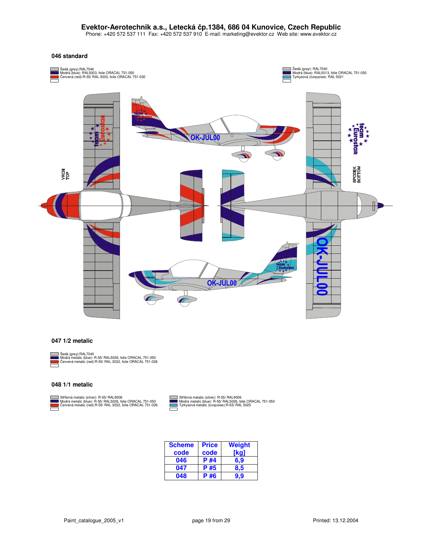Phone: +420 572 537 111 Fax: +420 572 537 910 E-mail: marketing@evektor.cz Web site: www.evektor.cz

#### **046 standard**



#### **047 1/2 metalic**



Sedá (grey):RAL7040<br>Modrá metalic (blue): R-55/ RAL5026, folie ORACAL 751-050<br>Červená metalic (red):R-55/ RAL 3032, folie ORACAL 751-026

#### **048 1/1 metalic**



Stříbmá metalic (silver): R-55/ RAL9006<br>Modrá metalic (blue): R-55/ RAL5026, folie ORACAL 751-050<br>Červená metalic (red):R-55/ RAL 3032, folie ORACAL 751-026

Stříbrná metalic (silver): R-55/ RAL9006<br>Modrá metalic (blue): R-55/ RAL5026, folie OF<br>Tyrkysová metalic (turquoise):R-55/ RAL 5025 Stříbrná metalic (silver): R-55/ RAL9006<br>Modrá metalic (blue): R-55/ RAL5026, folie ORACAL 751-050<br>Tyrkysová metalic (turquoise):R-55/ RAL 5025 ┑

| <b>Scheme</b> | <b>Price</b> | Weight |
|---------------|--------------|--------|
| code          | code         | ka     |
| 046           | P #4         | 6,9    |
| 047           | P #5         | 8.5    |
| 048           | P #6         |        |

Г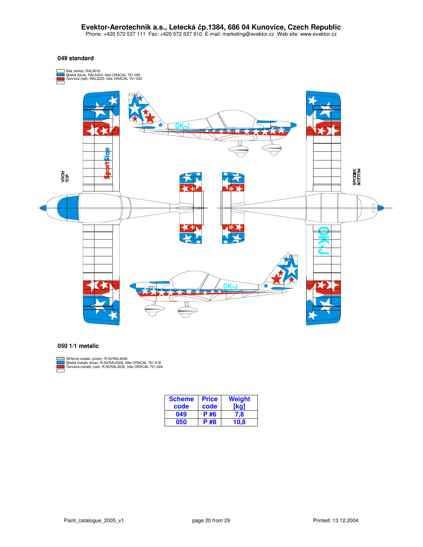#### **049 standard**



#### **050 1/1 metalic**



Stříbmá metalic (silver): R-55/RAL9006<br>Modrá metalic (blue): R-55/RAL5026, fólie ORACAL 751-518<br>Červená metalic (red): R-55/RAL3032, fólie ORACAL 751-026

| <b>Scheme</b> | <b>Price</b> | Weight |
|---------------|--------------|--------|
| code          | code         |        |
| 049           | P #6         | 7.8    |
| 050           | <b>P#8</b>   | 10.8   |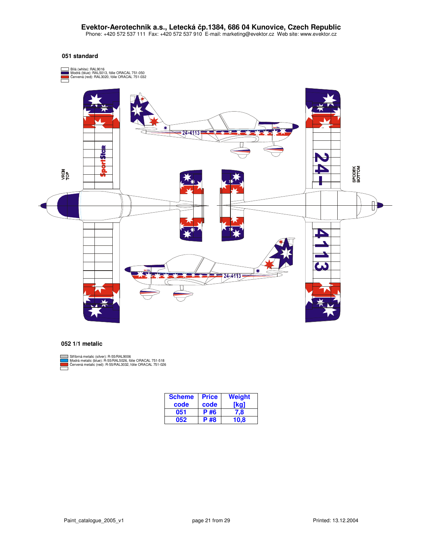#### **051 standard**



#### **052 1/1 metalic**



Stříbrná metalic (silver): R-55/RAL9006<br>Modrá metalic (blue): R-55/RAL5026, fólie ORACAL 751-518<br>Červená metalic (red): R-55/RAL3032, fólie ORACAL 751-026

| <b>Scheme</b> | <b>Price</b> | Weight |
|---------------|--------------|--------|
| code          | code         | ¦ka'   |
| 051           | P #6         | 7,8    |
| 052           | <b>P#8</b>   | 10.8   |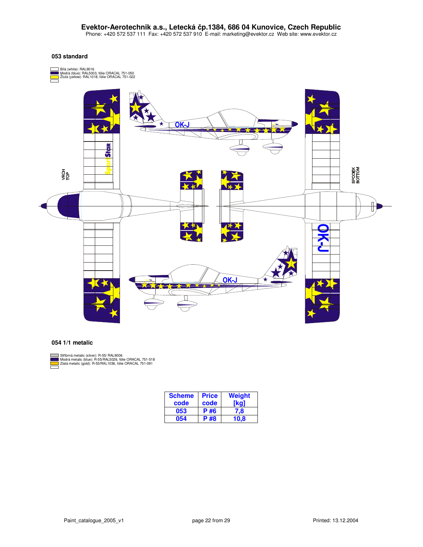#### **053 standard**



#### **054 1/1 metalic**



Stříbmá metalic (silver): R-55/ RAL9006<br>Modrá metalic (blue): R-55/RAL5026, fólie ORACAL 751-518<br>Zlatá metalic (gold): R-55/RAL1036, fólie ORACAL 751-091

| <b>Scheme</b> | <b>Price</b> | <b>Weight</b> |
|---------------|--------------|---------------|
| code          | code         | ka            |
| 053           | P #6         | 7.8           |
| 054           | P #8         | 10.8          |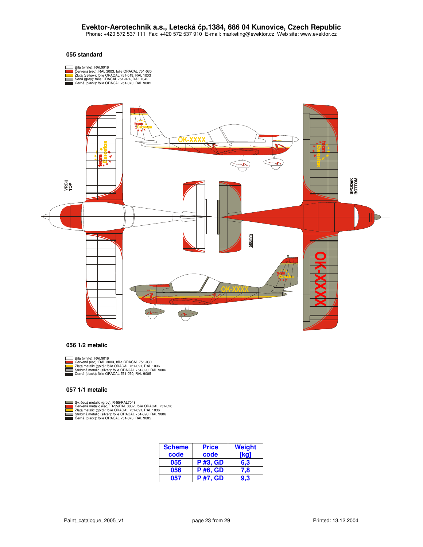Phone: +420 572 537 111 Fax: +420 572 537 910 E-mail: marketing@evektor.cz Web site: www.evektor.cz

#### **055 standard**





#### **056 1/2 metalic**



- Bílá (white): RAL9016<br>Červená (red): RAL 3003<br>Zlatá metalic (gold): fólie<br>Stříbrná metalic (silver): f Cervená (red): RAL 3003, fólie ORACAL 751-030<br>Zlatá metalic (gold): fólie ORACAL 751-091, RAL 1036<br>Stříbmá metalic (silver): fólie ORACAL 751-090, RAL 9006<br>Černá (black): fólie ORACAL 751-070, RAL 9005
- 

#### **057 1/1 metalic**



Sv. šedá metalic (grey): R-55/RAL7048<br>Červená metalic (red): R-55/RAL 3032,<br>Zlatá metalic (gold): fólie ORACAL 751<br>Stříbrná metalic (silver): fólie ORACAL Cervená metalic (red): R-55/RAL 3032, fólie ORACAL 751-026<br>Zlatá metalic (gold): fólie ORACAL 751-091, RAL 1036<br>Stříbmá metalic (silver): fólie ORACAL 751-090, RAL 9006<br>Černá (black): fólie ORACAL 751-070, RAL 9005

| <b>Scheme</b> | <b>Price</b>    | <b>Weight</b> |
|---------------|-----------------|---------------|
| code          | code            | <b>Tkg</b>    |
| 055           | <b>P#3, GD</b>  | 6.3           |
| 056           | <b>P#6, GD</b>  | 7,8           |
| 057           | <b>P #7, GD</b> |               |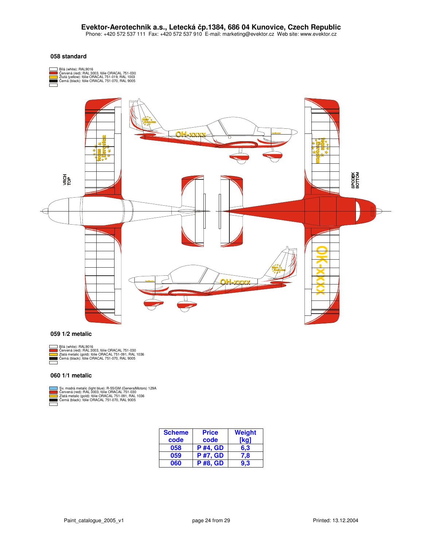#### **058 standard**



#### **059 1/2 metalic**



Bílá (white): RAL9016 Červená (red): RAL 3003, fólie ORACAL 751-030<br>Zlatá metalic (gold): fólie ORACAL 751-091, RAL 1036<br>Černá (black): fólie ORACAL 751-070, RAL 9005

#### **060 1/1 metalic**



Sv. modrá metalic (light blue): R-55/GM (GeneralMotors) 129A Červená (red): RAL 3003, fólie ORACAL 751-030<br>Zlatá metalic (gold): fólie ORACAL 751-091, RAL 1036<br>Černá (black): fólie ORACAL 751-070, RAL 9005

| <b>Scheme</b> | <b>Price</b>    | Weight |
|---------------|-----------------|--------|
| code          | code            | [kaˈ   |
| 058           | <b>P</b> #4, GD | 6.3    |
| 059           | <b>P</b> #7, GD | 7.8    |
| 060           | <b>P #8, GD</b> |        |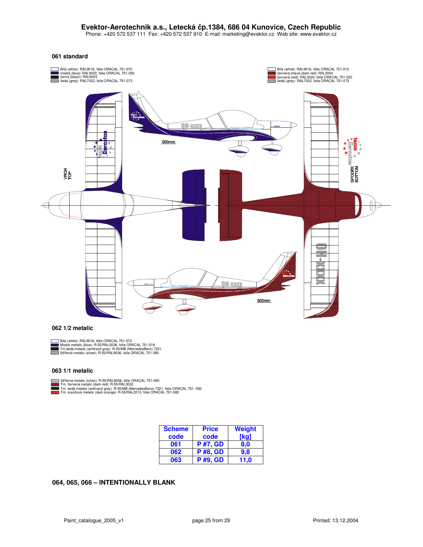Phone: +420 572 537 111 Fax: +420 572 537 910 E-mail: marketing@evektor.cz Web site: www.evektor.cz

#### **061 standard**



#### **062 1/2 metalic**



Bílá (white): RAL9016, fólie ORACAL 751-070<br>Modrá metalic (blue): R-55/RAL5026, folie ORACAL 751-518<br>Tm.šedá metalic (anhtracit grey): R-55/MB (MercedesBenz) 7221<br>Stříbrná metalic (silver): R-55/RAL9006, folie ORACAL 751-0

#### **063 1/1 metalic**

п

Stříbrná metalic (silver): R-55/RAL9006, fólie ORACAL 751-090<br>Tm. červená metalic (dark red): R-55/RAL3032<br>Tm. šedá metalic (anthracit grey): R-55/RAI (MercedesBenz) 7221, folie ORACAL 751- 093<br>Tm. oranžová metalic (dark o

| <b>Scheme</b> | <b>Price</b>    | Weight |
|---------------|-----------------|--------|
| code          | code            | [kg]   |
| 061           | <b>P</b> #7, GD | 8,0    |
| 062           | <b>P#8, GD</b>  | 9.8    |
| 063           | <b>P</b> #9, GD | 11.0   |

### **064, 065, 066 – INTENTIONALLY BLANK**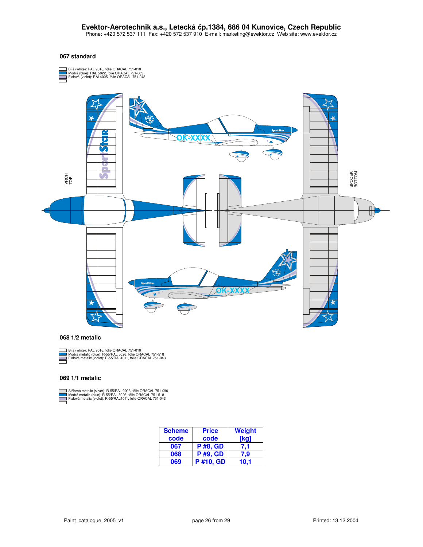Phone: +420 572 537 111 Fax: +420 572 537 910 E-mail: marketing@evektor.cz Web site: www.evektor.cz

#### **067 standard**



#### **068 1/2 metalic**



Bílá (white): RAL 9016, fólie ORACAL 751-010 Modrá metalic (blue): R-55/RAL 5026, fólie ORACAL 751-518 Fialová metalic (violet): R-55/RAL4011, fólie ORACAL 751-043

#### **069 1/1 metalic**

Stříbmá metalic (silver): R-55/RAL 9006, fólie ORACAL 751-090<br>Modrá metalic (blue): R-55/RAL 5026, fólie ORACAL 751-518<br>Fialová metalic (violet): R-55/RAL4011, fólie ORACAL 751-043

| <b>Scheme</b> | <b>Price</b>    | Weight      |
|---------------|-----------------|-------------|
| code          | code            | <b>Tkg)</b> |
| 067           | <b>P#8, GD</b>  | 7,1         |
| 068           | <b>P</b> #9, GD | 7.9         |
| 069           | <b>P#10. GD</b> | 10.1        |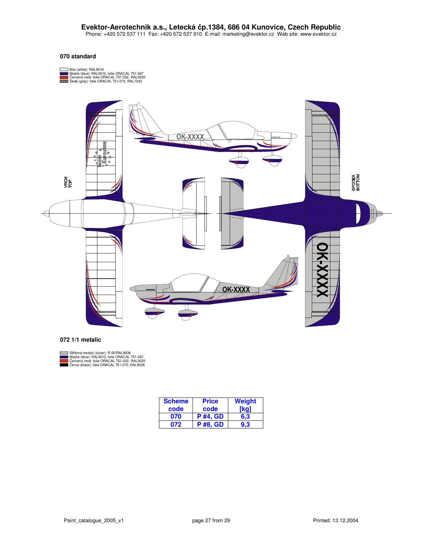#### **070 standard**





#### **072 1/1 metalic**



| <b>Scheme</b><br>code | <b>Price</b><br>code | <b>Weight</b><br>[ka] |
|-----------------------|----------------------|-----------------------|
| 070                   | <b>P</b> #4, GD      | 6.3                   |
| 072                   | <b>P#8. GD</b>       | 9.3 <sup>°</sup>      |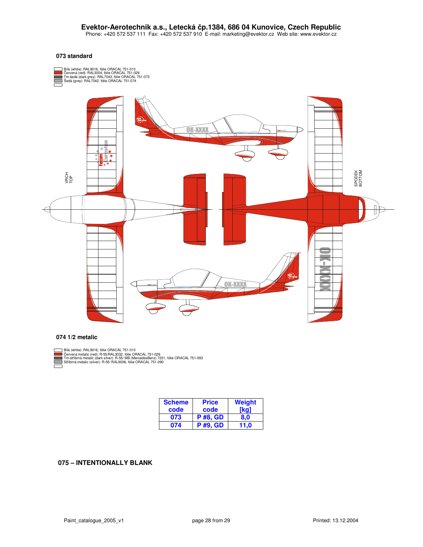#### **073 standard**



#### **074 1/2 metalic**

 $\equiv$ 

Bílá (white): RAL9016, fólie ORACAL 751-010<br>Červená metalic (red): R-55/RAL3032, fólie ORACAL 751-026<br>Tm.stříbrná metalic (dark silver): R-55/ MB (MercedesBenz) 7221, fólie ORACAL 751-093<br>Stříbrná metalic (silver): R-55/ R , fólie ORACAL 751-026 (silver): R-55/ RAL9006, fólie ORACAL 751-090

| <b>Scheme</b> | <b>Price</b>    | <b>Weight</b> |
|---------------|-----------------|---------------|
| code          | code            | [kq]          |
| 073           | <b>P</b> #8, GD | 8,0           |
| 074           | <b>P</b> #9, GD | 11.0          |

#### **075 – INTENTIONALLY BLANK**